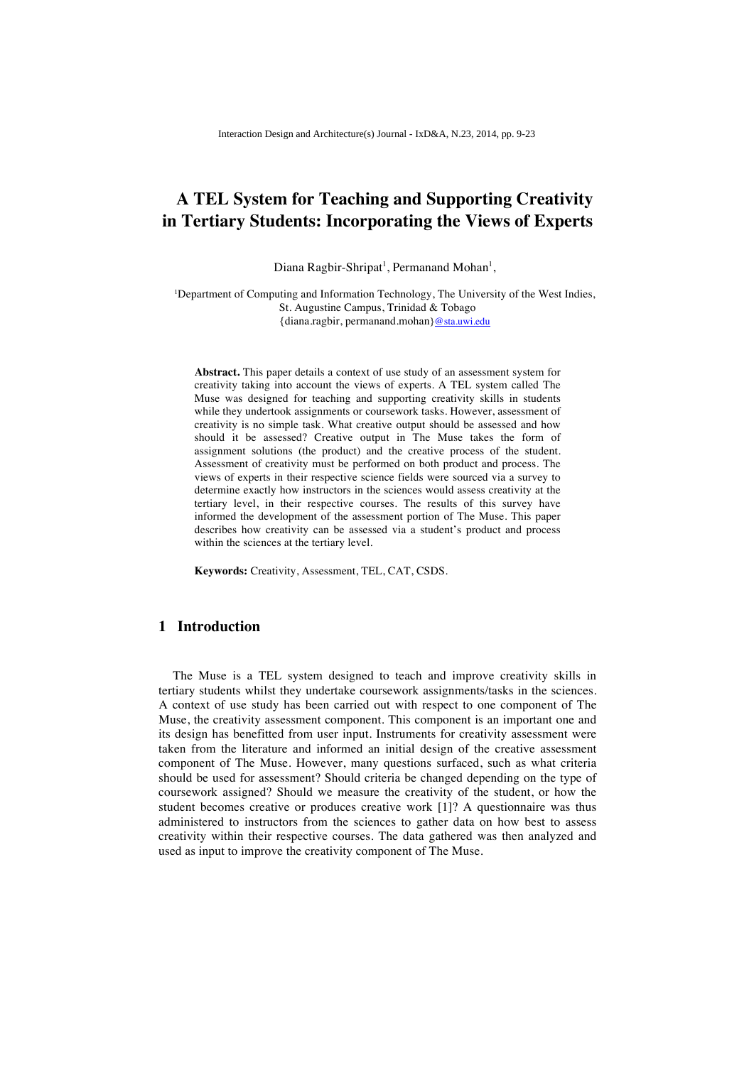# **A TEL System for Teaching and Supporting Creativity in Tertiary Students: Incorporating the Views of Experts**

Diana Ragbir-Shripat<sup>1</sup>, Permanand Mohan<sup>1</sup>,

<sup>1</sup>Department of Computing and Information Technology, The University of the West Indies, St. Augustine Campus, Trinidad & Tobago {diana.ragbir, permanand.mohan}@sta.uwi.edu

**Abstract.** This paper details a context of use study of an assessment system for creativity taking into account the views of experts. A TEL system called The Muse was designed for teaching and supporting creativity skills in students while they undertook assignments or coursework tasks. However, assessment of creativity is no simple task. What creative output should be assessed and how should it be assessed? Creative output in The Muse takes the form of assignment solutions (the product) and the creative process of the student. Assessment of creativity must be performed on both product and process. The views of experts in their respective science fields were sourced via a survey to determine exactly how instructors in the sciences would assess creativity at the tertiary level, in their respective courses. The results of this survey have informed the development of the assessment portion of The Muse. This paper describes how creativity can be assessed via a student's product and process within the sciences at the tertiary level.

**Keywords:** Creativity, Assessment, TEL, CAT, CSDS.

# **1 Introduction**

The Muse is a TEL system designed to teach and improve creativity skills in tertiary students whilst they undertake coursework assignments/tasks in the sciences. A context of use study has been carried out with respect to one component of The Muse, the creativity assessment component. This component is an important one and its design has benefitted from user input. Instruments for creativity assessment were taken from the literature and informed an initial design of the creative assessment component of The Muse. However, many questions surfaced, such as what criteria should be used for assessment? Should criteria be changed depending on the type of coursework assigned? Should we measure the creativity of the student, or how the student becomes creative or produces creative work [1]? A questionnaire was thus administered to instructors from the sciences to gather data on how best to assess creativity within their respective courses. The data gathered was then analyzed and used as input to improve the creativity component of The Muse.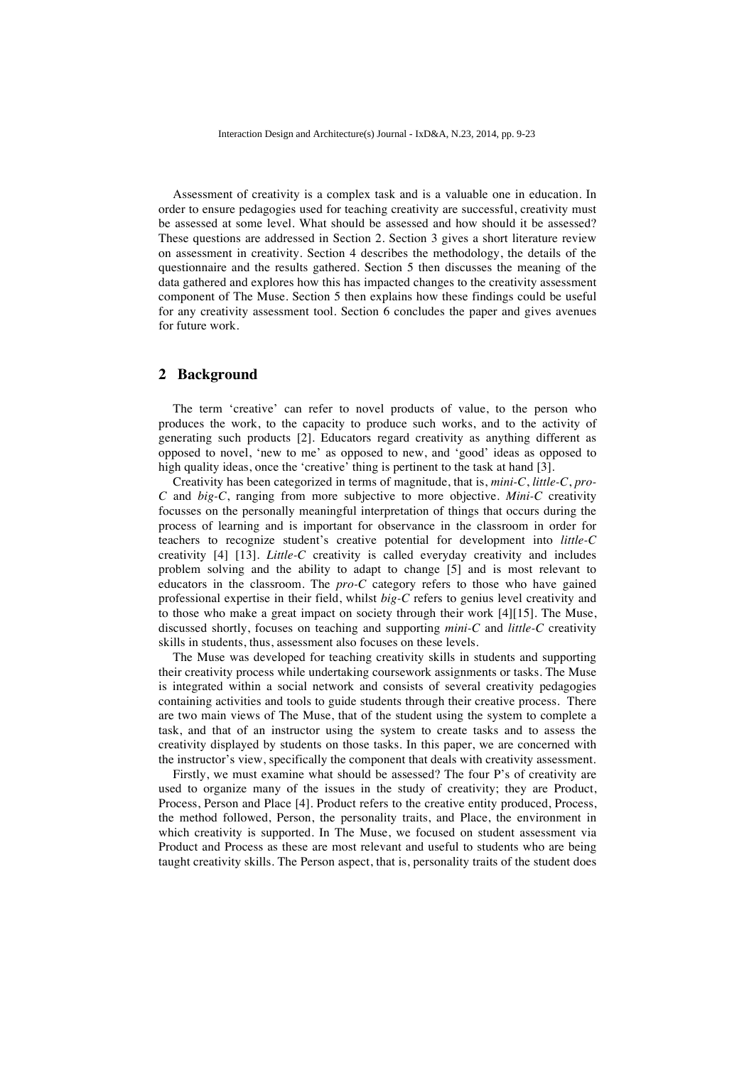Assessment of creativity is a complex task and is a valuable one in education. In order to ensure pedagogies used for teaching creativity are successful, creativity must be assessed at some level. What should be assessed and how should it be assessed? These questions are addressed in Section 2. Section 3 gives a short literature review on assessment in creativity. Section 4 describes the methodology, the details of the questionnaire and the results gathered. Section 5 then discusses the meaning of the data gathered and explores how this has impacted changes to the creativity assessment component of The Muse. Section 5 then explains how these findings could be useful for any creativity assessment tool. Section 6 concludes the paper and gives avenues for future work.

### **2 Background**

The term 'creative' can refer to novel products of value, to the person who produces the work, to the capacity to produce such works, and to the activity of generating such products [2]. Educators regard creativity as anything different as opposed to novel, 'new to me' as opposed to new, and 'good' ideas as opposed to high quality ideas, once the 'creative' thing is pertinent to the task at hand [3].

Creativity has been categorized in terms of magnitude, that is, *mini-C*, *little-C*, *pro-C* and *big-C*, ranging from more subjective to more objective. *Mini-C* creativity focusses on the personally meaningful interpretation of things that occurs during the process of learning and is important for observance in the classroom in order for teachers to recognize student's creative potential for development into *little-C* creativity [4] [13]. *Little-C* creativity is called everyday creativity and includes problem solving and the ability to adapt to change [5] and is most relevant to educators in the classroom. The *pro-C* category refers to those who have gained professional expertise in their field, whilst *big-C* refers to genius level creativity and to those who make a great impact on society through their work [4][15]. The Muse, discussed shortly, focuses on teaching and supporting *mini-C* and *little-C* creativity skills in students, thus, assessment also focuses on these levels.

The Muse was developed for teaching creativity skills in students and supporting their creativity process while undertaking coursework assignments or tasks. The Muse is integrated within a social network and consists of several creativity pedagogies containing activities and tools to guide students through their creative process. There are two main views of The Muse, that of the student using the system to complete a task, and that of an instructor using the system to create tasks and to assess the creativity displayed by students on those tasks. In this paper, we are concerned with the instructor's view, specifically the component that deals with creativity assessment.

Firstly, we must examine what should be assessed? The four P's of creativity are used to organize many of the issues in the study of creativity; they are Product, Process, Person and Place [4]. Product refers to the creative entity produced, Process, the method followed, Person, the personality traits, and Place, the environment in which creativity is supported. In The Muse, we focused on student assessment via Product and Process as these are most relevant and useful to students who are being taught creativity skills. The Person aspect, that is, personality traits of the student does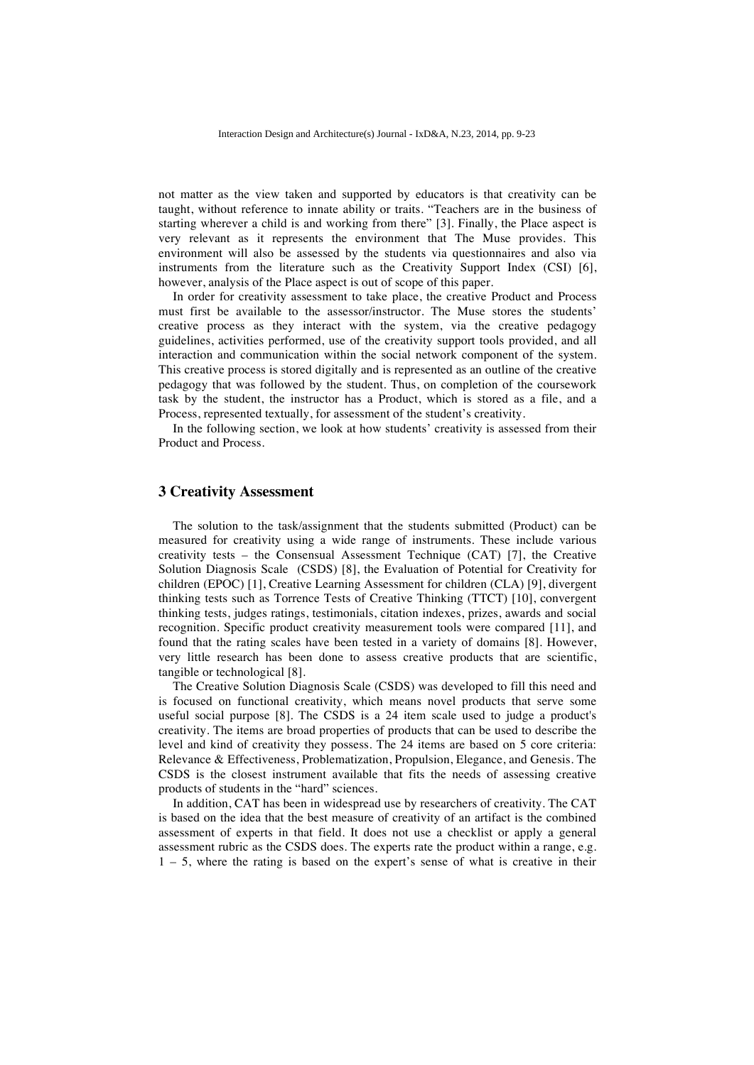not matter as the view taken and supported by educators is that creativity can be taught, without reference to innate ability or traits. "Teachers are in the business of starting wherever a child is and working from there" [3]. Finally, the Place aspect is very relevant as it represents the environment that The Muse provides. This environment will also be assessed by the students via questionnaires and also via instruments from the literature such as the Creativity Support Index (CSI) [6], however, analysis of the Place aspect is out of scope of this paper.

In order for creativity assessment to take place, the creative Product and Process must first be available to the assessor/instructor. The Muse stores the students' creative process as they interact with the system, via the creative pedagogy guidelines, activities performed, use of the creativity support tools provided, and all interaction and communication within the social network component of the system. This creative process is stored digitally and is represented as an outline of the creative pedagogy that was followed by the student. Thus, on completion of the coursework task by the student, the instructor has a Product, which is stored as a file, and a Process, represented textually, for assessment of the student's creativity.

In the following section, we look at how students' creativity is assessed from their Product and Process.

### **3 Creativity Assessment**

The solution to the task/assignment that the students submitted (Product) can be measured for creativity using a wide range of instruments. These include various creativity tests – the Consensual Assessment Technique (CAT) [7], the Creative Solution Diagnosis Scale (CSDS) [8], the Evaluation of Potential for Creativity for children (EPOC) [1], Creative Learning Assessment for children (CLA) [9], divergent thinking tests such as Torrence Tests of Creative Thinking (TTCT) [10], convergent thinking tests, judges ratings, testimonials, citation indexes, prizes, awards and social recognition. Specific product creativity measurement tools were compared [11], and found that the rating scales have been tested in a variety of domains [8]. However, very little research has been done to assess creative products that are scientific, tangible or technological [8].

The Creative Solution Diagnosis Scale (CSDS) was developed to fill this need and is focused on functional creativity, which means novel products that serve some useful social purpose [8]. The CSDS is a 24 item scale used to judge a product's creativity. The items are broad properties of products that can be used to describe the level and kind of creativity they possess. The 24 items are based on 5 core criteria: Relevance & Effectiveness, Problematization, Propulsion, Elegance, and Genesis. The CSDS is the closest instrument available that fits the needs of assessing creative products of students in the "hard" sciences.

In addition, CAT has been in widespread use by researchers of creativity. The CAT is based on the idea that the best measure of creativity of an artifact is the combined assessment of experts in that field. It does not use a checklist or apply a general assessment rubric as the CSDS does. The experts rate the product within a range, e.g. 1 – 5, where the rating is based on the expert's sense of what is creative in their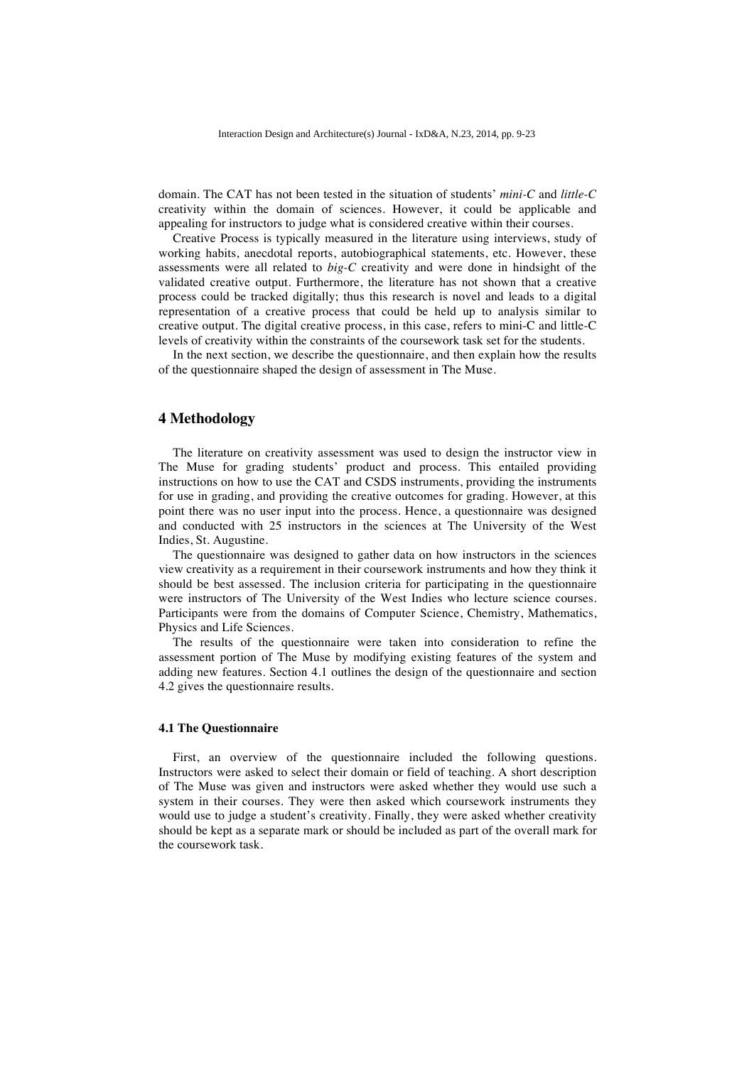domain. The CAT has not been tested in the situation of students' *mini-C* and *little-C* creativity within the domain of sciences. However, it could be applicable and appealing for instructors to judge what is considered creative within their courses.

Creative Process is typically measured in the literature using interviews, study of working habits, anecdotal reports, autobiographical statements, etc. However, these assessments were all related to *big-C* creativity and were done in hindsight of the validated creative output. Furthermore, the literature has not shown that a creative process could be tracked digitally; thus this research is novel and leads to a digital representation of a creative process that could be held up to analysis similar to creative output. The digital creative process, in this case, refers to mini-C and little-C levels of creativity within the constraints of the coursework task set for the students.

In the next section, we describe the questionnaire, and then explain how the results of the questionnaire shaped the design of assessment in The Muse.

### **4 Methodology**

The literature on creativity assessment was used to design the instructor view in The Muse for grading students' product and process. This entailed providing instructions on how to use the CAT and CSDS instruments, providing the instruments for use in grading, and providing the creative outcomes for grading. However, at this point there was no user input into the process. Hence, a questionnaire was designed and conducted with 25 instructors in the sciences at The University of the West Indies, St. Augustine.

The questionnaire was designed to gather data on how instructors in the sciences view creativity as a requirement in their coursework instruments and how they think it should be best assessed. The inclusion criteria for participating in the questionnaire were instructors of The University of the West Indies who lecture science courses. Participants were from the domains of Computer Science, Chemistry, Mathematics, Physics and Life Sciences.

The results of the questionnaire were taken into consideration to refine the assessment portion of The Muse by modifying existing features of the system and adding new features. Section 4.1 outlines the design of the questionnaire and section 4.2 gives the questionnaire results.

#### **4.1 The Questionnaire**

First, an overview of the questionnaire included the following questions. Instructors were asked to select their domain or field of teaching. A short description of The Muse was given and instructors were asked whether they would use such a system in their courses. They were then asked which coursework instruments they would use to judge a student's creativity. Finally, they were asked whether creativity should be kept as a separate mark or should be included as part of the overall mark for the coursework task.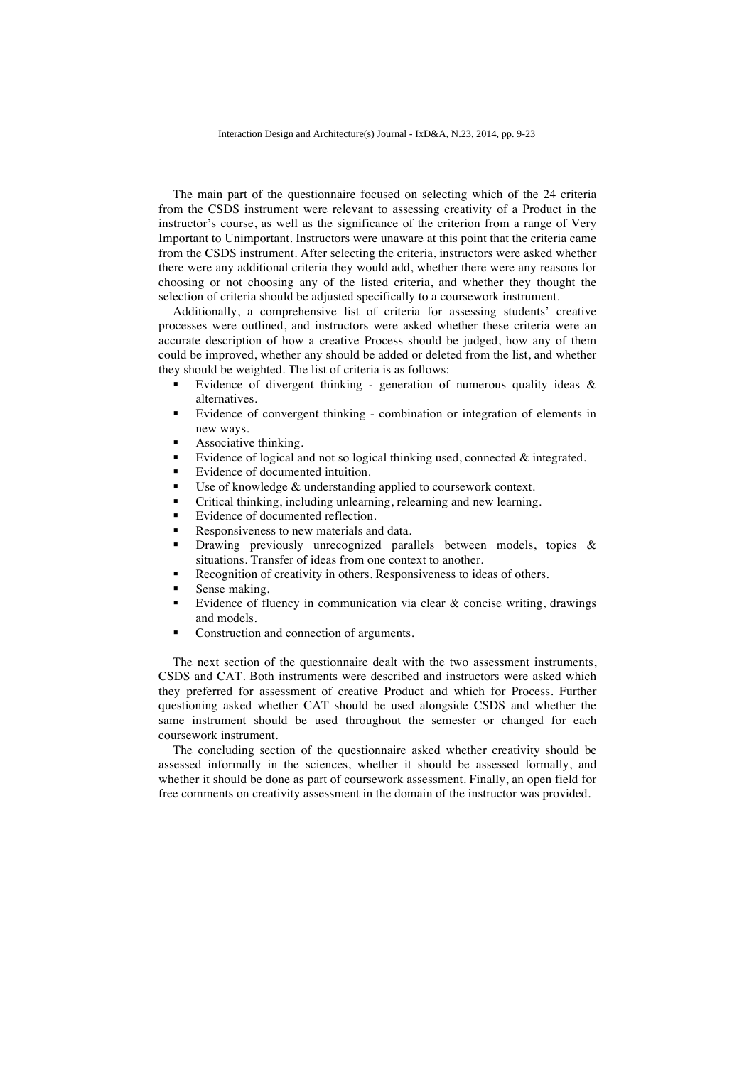The main part of the questionnaire focused on selecting which of the 24 criteria from the CSDS instrument were relevant to assessing creativity of a Product in the instructor's course, as well as the significance of the criterion from a range of Very Important to Unimportant. Instructors were unaware at this point that the criteria came from the CSDS instrument. After selecting the criteria, instructors were asked whether there were any additional criteria they would add, whether there were any reasons for choosing or not choosing any of the listed criteria, and whether they thought the selection of criteria should be adjusted specifically to a coursework instrument.

Additionally, a comprehensive list of criteria for assessing students' creative processes were outlined, and instructors were asked whether these criteria were an accurate description of how a creative Process should be judged, how any of them could be improved, whether any should be added or deleted from the list, and whether they should be weighted. The list of criteria is as follows:

- Evidence of divergent thinking generation of numerous quality ideas  $\&$ alternatives.
- Evidence of convergent thinking combination or integration of elements in new ways.
- Associative thinking.
- Evidence of logical and not so logical thinking used, connected  $\&$  integrated.
- Evidence of documented intuition.
- Use of knowledge & understanding applied to coursework context.
- Critical thinking, including unlearning, relearning and new learning.
- Evidence of documented reflection
- Responsiveness to new materials and data.
- § Drawing previously unrecognized parallels between models, topics & situations. Transfer of ideas from one context to another.
- Recognition of creativity in others. Responsiveness to ideas of others.
- Sense making.
- Evidence of fluency in communication via clear  $\&$  concise writing, drawings and models.
- Construction and connection of arguments.

The next section of the questionnaire dealt with the two assessment instruments, CSDS and CAT. Both instruments were described and instructors were asked which they preferred for assessment of creative Product and which for Process. Further questioning asked whether CAT should be used alongside CSDS and whether the same instrument should be used throughout the semester or changed for each coursework instrument.

The concluding section of the questionnaire asked whether creativity should be assessed informally in the sciences, whether it should be assessed formally, and whether it should be done as part of coursework assessment. Finally, an open field for free comments on creativity assessment in the domain of the instructor was provided.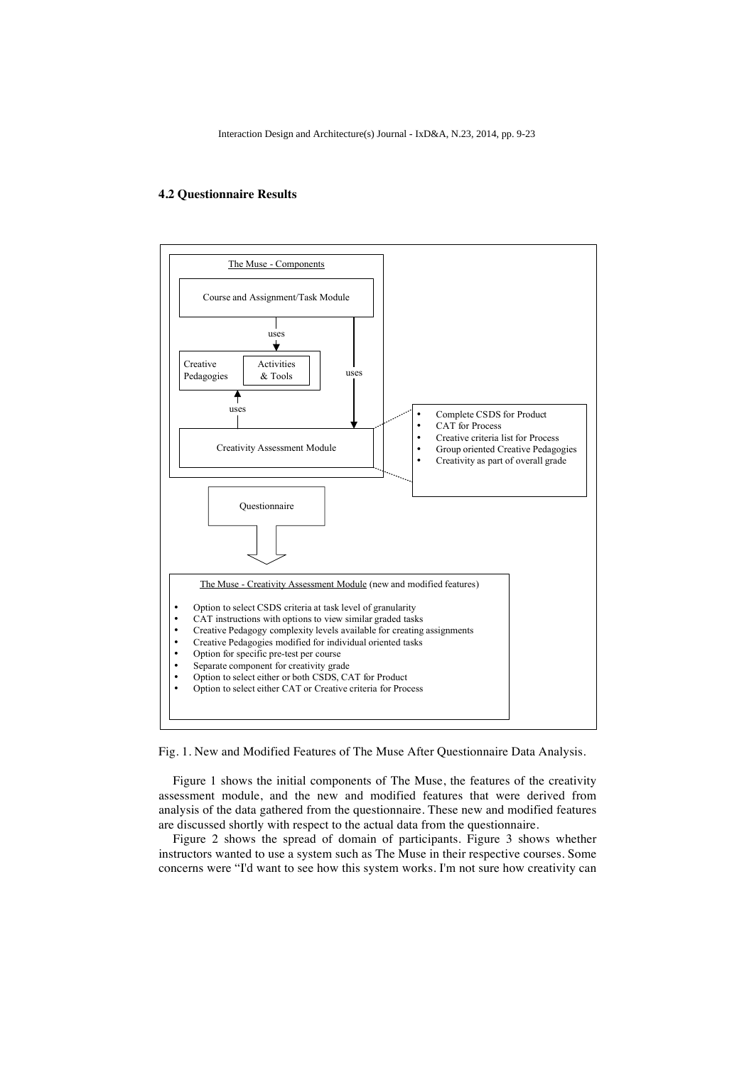### **4.2 Questionnaire Results**



Fig. 1. New and Modified Features of The Muse After Questionnaire Data Analysis.

Figure 1 shows the initial components of The Muse, the features of the creativity assessment module, and the new and modified features that were derived from analysis of the data gathered from the questionnaire. These new and modified features are discussed shortly with respect to the actual data from the questionnaire.

Figure 2 shows the spread of domain of participants. Figure 3 shows whether instructors wanted to use a system such as The Muse in their respective courses. Some concerns were "I'd want to see how this system works. I'm not sure how creativity can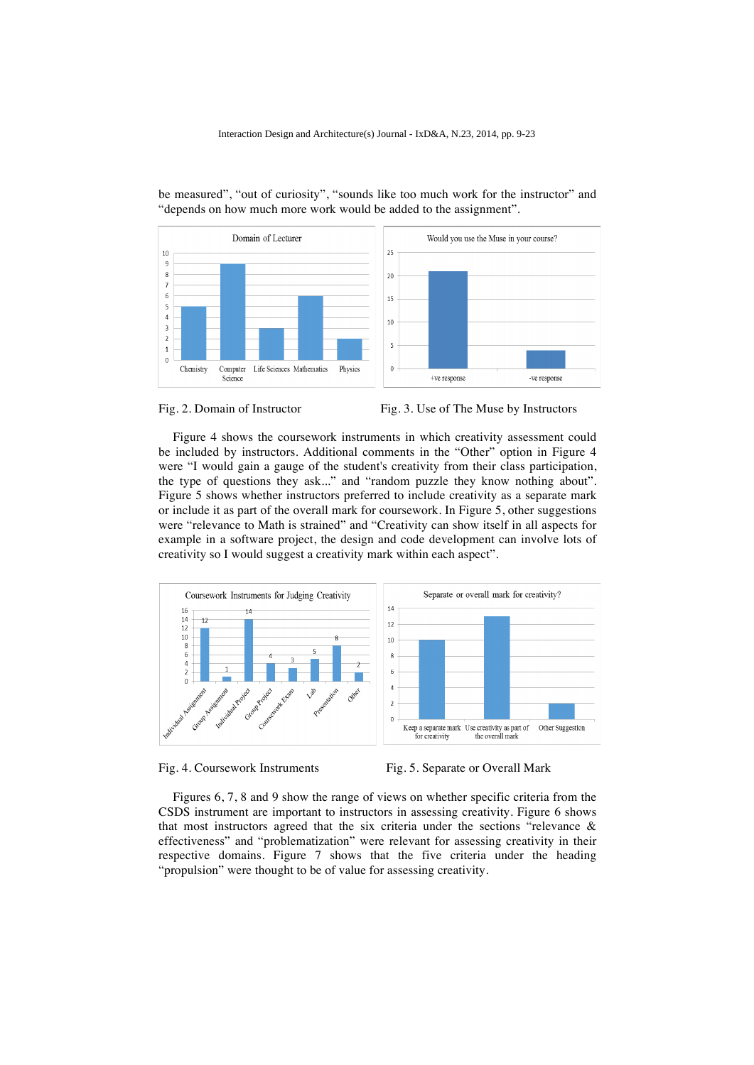be measured", "out of curiosity", "sounds like too much work for the instructor" and "depends on how much more work would be added to the assignment".







Figure 4 shows the coursework instruments in which creativity assessment could be included by instructors. Additional comments in the "Other" option in Figure 4 were "I would gain a gauge of the student's creativity from their class participation, the type of questions they ask..." and "random puzzle they know nothing about". Figure 5 shows whether instructors preferred to include creativity as a separate mark or include it as part of the overall mark for coursework. In Figure 5, other suggestions were "relevance to Math is strained" and "Creativity can show itself in all aspects for example in a software project, the design and code development can involve lots of creativity so I would suggest a creativity mark within each aspect".





Figures 6, 7, 8 and 9 show the range of views on whether specific criteria from the CSDS instrument are important to instructors in assessing creativity. Figure 6 shows that most instructors agreed that the six criteria under the sections "relevance  $\&$ effectiveness" and "problematization" were relevant for assessing creativity in their respective domains. Figure 7 shows that the five criteria under the heading "propulsion" were thought to be of value for assessing creativity.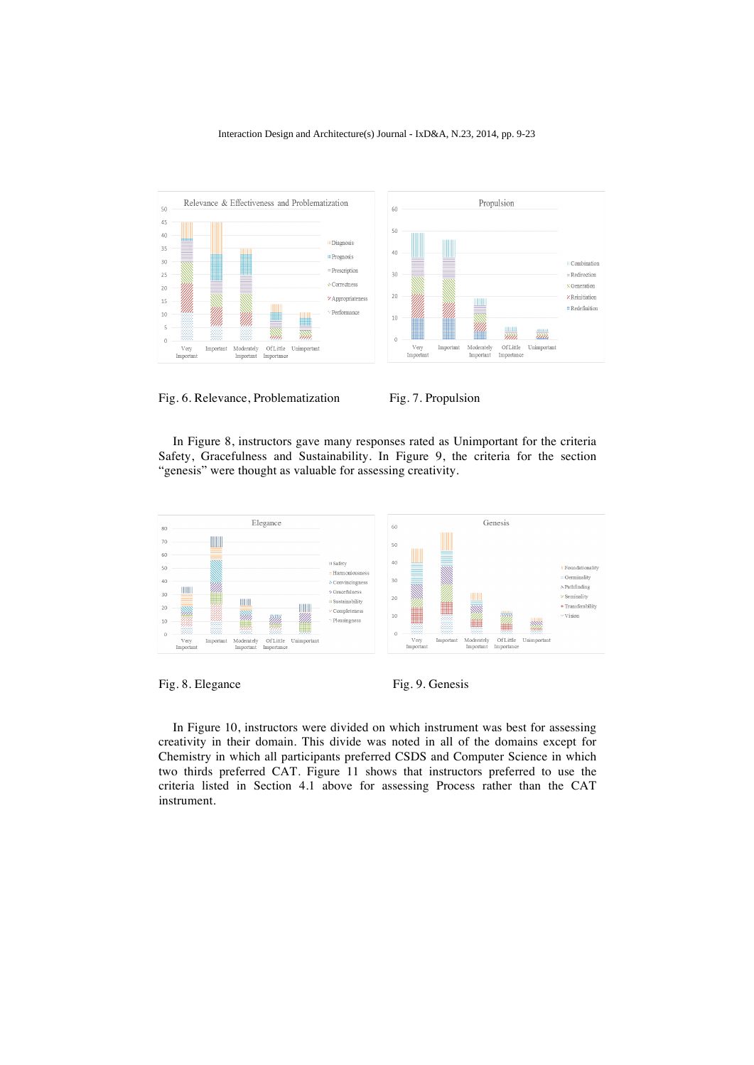

Fig. 6. Relevance, Problematization Fig. 7. Propulsion



In Figure 8, instructors gave many responses rated as Unimportant for the criteria Safety, Gracefulness and Sustainability. In Figure 9, the criteria for the section "genesis" were thought as valuable for assessing creativity.



Fig. 8. Elegance Fig. 9. Genesis

In Figure 10, instructors were divided on which instrument was best for assessing creativity in their domain. This divide was noted in all of the domains except for Chemistry in which all participants preferred CSDS and Computer Science in which two thirds preferred CAT. Figure 11 shows that instructors preferred to use the criteria listed in Section 4.1 above for assessing Process rather than the CAT instrument.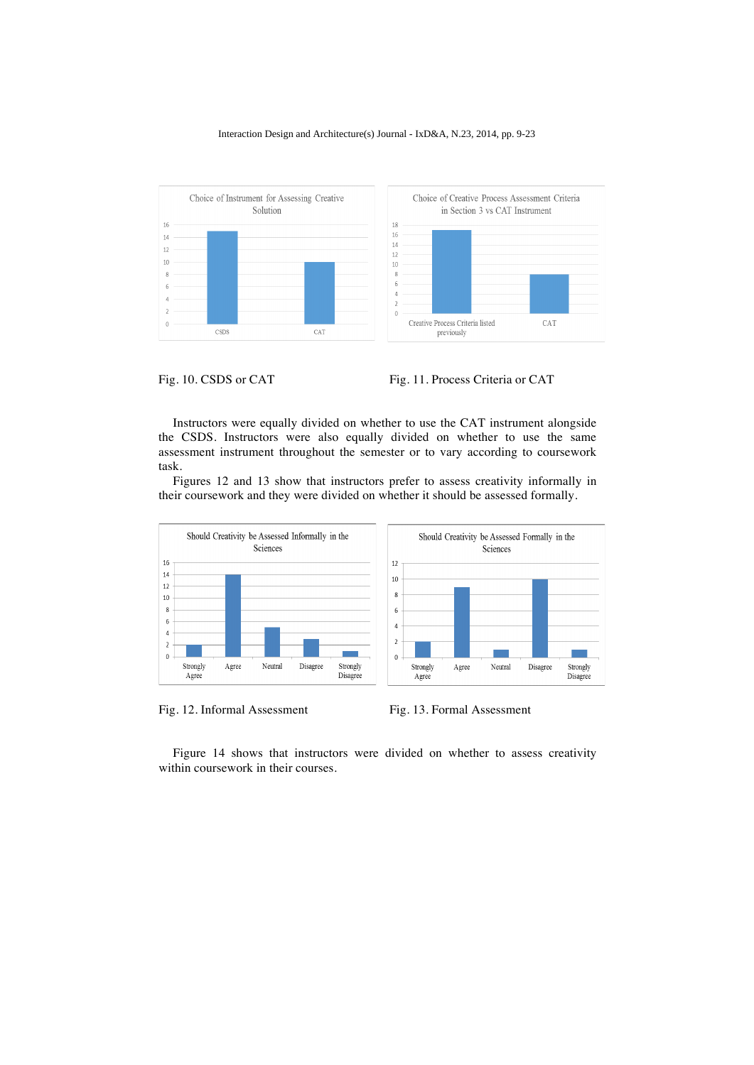

Fig. 10. CSDS or CAT Fig. 11. Process Criteria or CAT

Instructors were equally divided on whether to use the CAT instrument alongside the CSDS. Instructors were also equally divided on whether to use the same assessment instrument throughout the semester or to vary according to coursework task.

Figures 12 and 13 show that instructors prefer to assess creativity informally in their coursework and they were divided on whether it should be assessed formally.







Figure 14 shows that instructors were divided on whether to assess creativity within coursework in their courses.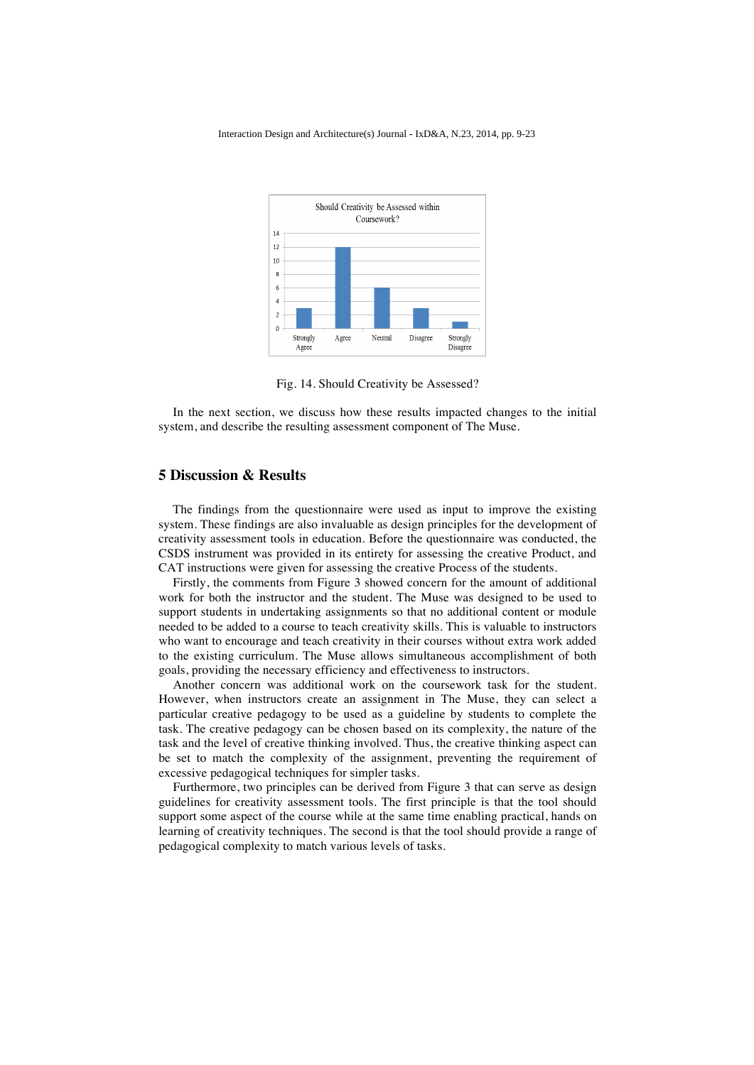

Fig. 14. Should Creativity be Assessed?

In the next section, we discuss how these results impacted changes to the initial system, and describe the resulting assessment component of The Muse.

# **5 Discussion & Results**

The findings from the questionnaire were used as input to improve the existing system. These findings are also invaluable as design principles for the development of creativity assessment tools in education. Before the questionnaire was conducted, the CSDS instrument was provided in its entirety for assessing the creative Product, and CAT instructions were given for assessing the creative Process of the students.

Firstly, the comments from Figure 3 showed concern for the amount of additional work for both the instructor and the student. The Muse was designed to be used to support students in undertaking assignments so that no additional content or module needed to be added to a course to teach creativity skills. This is valuable to instructors who want to encourage and teach creativity in their courses without extra work added to the existing curriculum. The Muse allows simultaneous accomplishment of both goals, providing the necessary efficiency and effectiveness to instructors.

Another concern was additional work on the coursework task for the student. However, when instructors create an assignment in The Muse, they can select a particular creative pedagogy to be used as a guideline by students to complete the task. The creative pedagogy can be chosen based on its complexity, the nature of the task and the level of creative thinking involved. Thus, the creative thinking aspect can be set to match the complexity of the assignment, preventing the requirement of excessive pedagogical techniques for simpler tasks.

Furthermore, two principles can be derived from Figure 3 that can serve as design guidelines for creativity assessment tools. The first principle is that the tool should support some aspect of the course while at the same time enabling practical, hands on learning of creativity techniques. The second is that the tool should provide a range of pedagogical complexity to match various levels of tasks.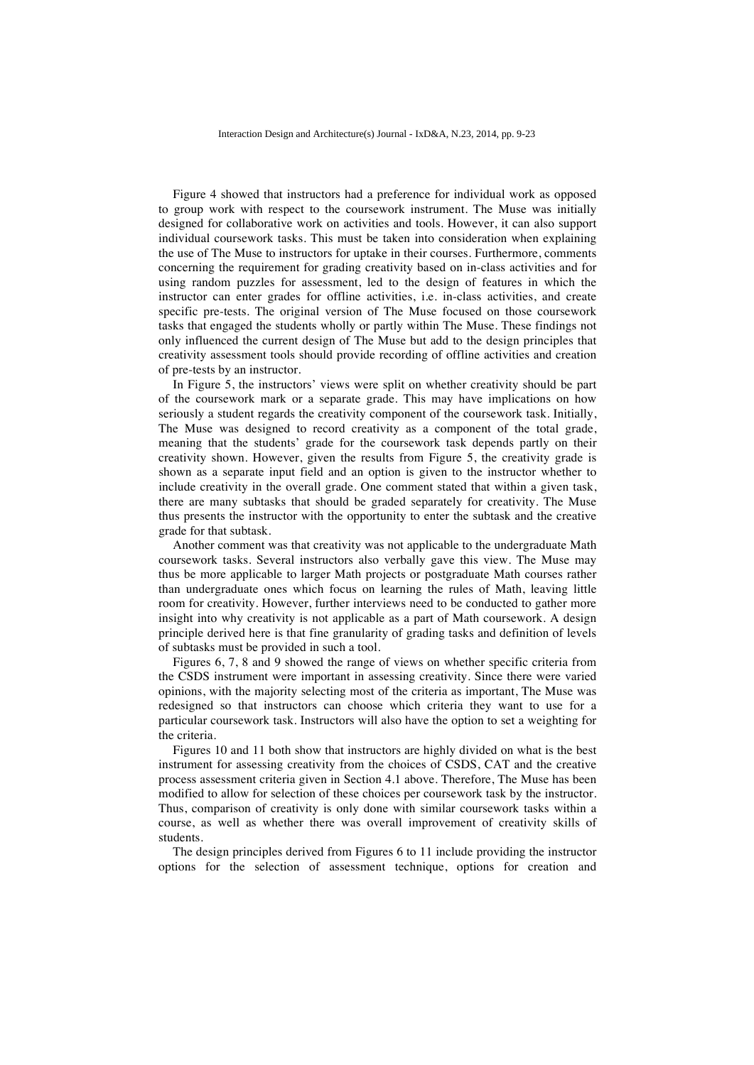Figure 4 showed that instructors had a preference for individual work as opposed to group work with respect to the coursework instrument. The Muse was initially designed for collaborative work on activities and tools. However, it can also support individual coursework tasks. This must be taken into consideration when explaining the use of The Muse to instructors for uptake in their courses. Furthermore, comments concerning the requirement for grading creativity based on in-class activities and for using random puzzles for assessment, led to the design of features in which the instructor can enter grades for offline activities, i.e. in-class activities, and create specific pre-tests. The original version of The Muse focused on those coursework tasks that engaged the students wholly or partly within The Muse. These findings not only influenced the current design of The Muse but add to the design principles that creativity assessment tools should provide recording of offline activities and creation of pre-tests by an instructor.

In Figure 5, the instructors' views were split on whether creativity should be part of the coursework mark or a separate grade. This may have implications on how seriously a student regards the creativity component of the coursework task. Initially, The Muse was designed to record creativity as a component of the total grade, meaning that the students' grade for the coursework task depends partly on their creativity shown. However, given the results from Figure 5, the creativity grade is shown as a separate input field and an option is given to the instructor whether to include creativity in the overall grade. One comment stated that within a given task, there are many subtasks that should be graded separately for creativity. The Muse thus presents the instructor with the opportunity to enter the subtask and the creative grade for that subtask.

Another comment was that creativity was not applicable to the undergraduate Math coursework tasks. Several instructors also verbally gave this view. The Muse may thus be more applicable to larger Math projects or postgraduate Math courses rather than undergraduate ones which focus on learning the rules of Math, leaving little room for creativity. However, further interviews need to be conducted to gather more insight into why creativity is not applicable as a part of Math coursework. A design principle derived here is that fine granularity of grading tasks and definition of levels of subtasks must be provided in such a tool.

Figures 6, 7, 8 and 9 showed the range of views on whether specific criteria from the CSDS instrument were important in assessing creativity. Since there were varied opinions, with the majority selecting most of the criteria as important, The Muse was redesigned so that instructors can choose which criteria they want to use for a particular coursework task. Instructors will also have the option to set a weighting for the criteria.

Figures 10 and 11 both show that instructors are highly divided on what is the best instrument for assessing creativity from the choices of CSDS, CAT and the creative process assessment criteria given in Section 4.1 above. Therefore, The Muse has been modified to allow for selection of these choices per coursework task by the instructor. Thus, comparison of creativity is only done with similar coursework tasks within a course, as well as whether there was overall improvement of creativity skills of students.

The design principles derived from Figures 6 to 11 include providing the instructor options for the selection of assessment technique, options for creation and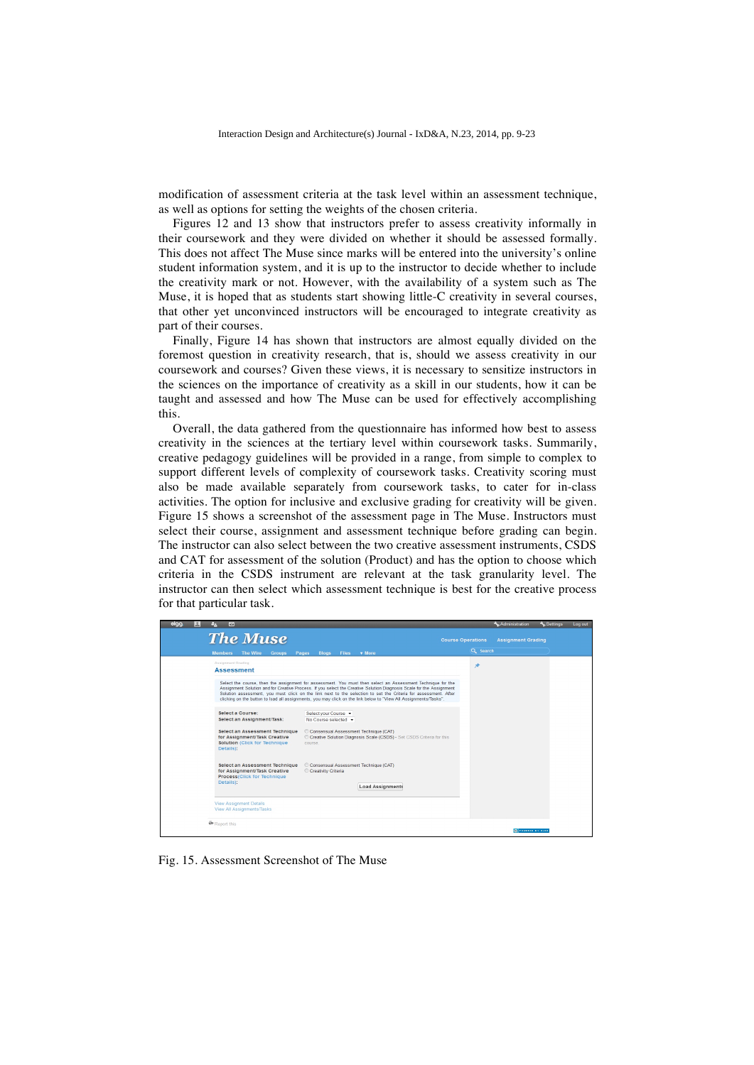modification of assessment criteria at the task level within an assessment technique, as well as options for setting the weights of the chosen criteria.

Figures 12 and 13 show that instructors prefer to assess creativity informally in their coursework and they were divided on whether it should be assessed formally. This does not affect The Muse since marks will be entered into the university's online student information system, and it is up to the instructor to decide whether to include the creativity mark or not. However, with the availability of a system such as The Muse, it is hoped that as students start showing little-C creativity in several courses, that other yet unconvinced instructors will be encouraged to integrate creativity as part of their courses.

Finally, Figure 14 has shown that instructors are almost equally divided on the foremost question in creativity research, that is, should we assess creativity in our coursework and courses? Given these views, it is necessary to sensitize instructors in the sciences on the importance of creativity as a skill in our students, how it can be taught and assessed and how The Muse can be used for effectively accomplishing this.

Overall, the data gathered from the questionnaire has informed how best to assess creativity in the sciences at the tertiary level within coursework tasks. Summarily, creative pedagogy guidelines will be provided in a range, from simple to complex to support different levels of complexity of coursework tasks. Creativity scoring must also be made available separately from coursework tasks, to cater for in-class activities. The option for inclusive and exclusive grading for creativity will be given. Figure 15 shows a screenshot of the assessment page in The Muse. Instructors must select their course, assignment and assessment technique before grading can begin. The instructor can also select between the two creative assessment instruments, CSDS and CAT for assessment of the solution (Product) and has the option to choose which criteria in the CSDS instrument are relevant at the task granularity level. The instructor can then select which assessment technique is best for the creative process for that particular task.



Fig. 15. Assessment Screenshot of The Muse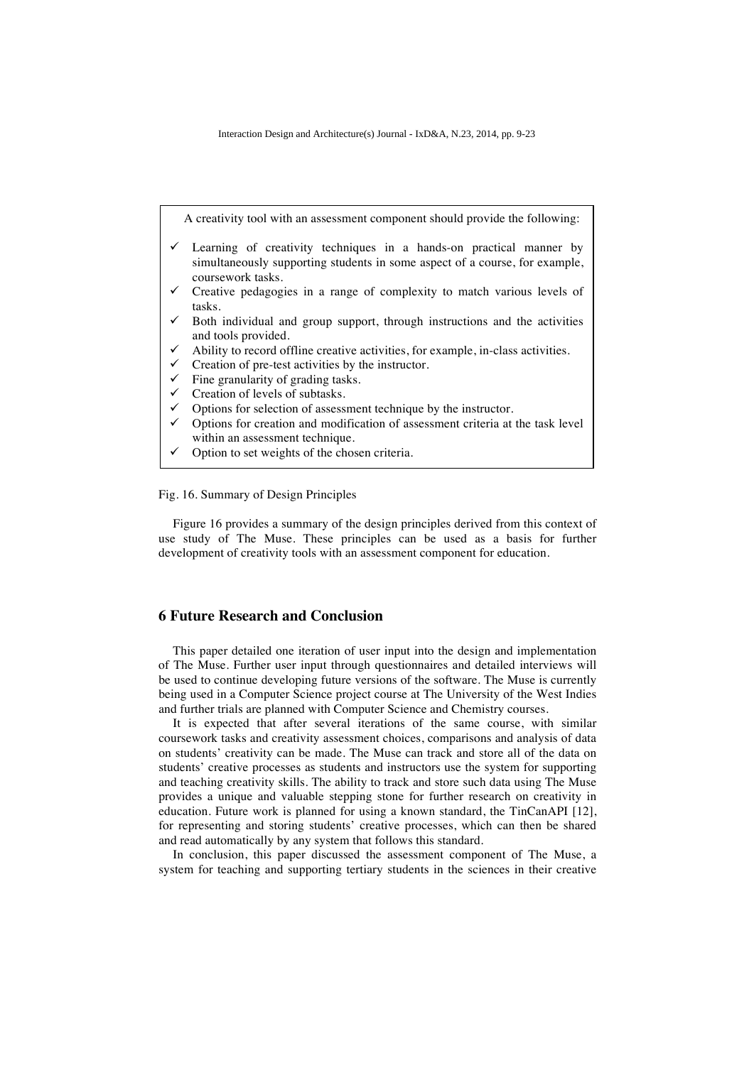A creativity tool with an assessment component should provide the following:

- $\checkmark$  Learning of creativity techniques in a hands-on practical manner by simultaneously supporting students in some aspect of a course, for example, coursework tasks.
- $\checkmark$  Creative pedagogies in a range of complexity to match various levels of tasks.
- Both individual and group support, through instructions and the activities and tools provided.
- Ability to record offline creative activities, for example, in-class activities.
- $\checkmark$  Creation of pre-test activities by the instructor.<br> $\checkmark$  Fine granularity of grading tasks
- Fine granularity of grading tasks.
- Creation of levels of subtasks.
- ü Options for selection of assessment technique by the instructor.
- $\checkmark$  Options for creation and modification of assessment criteria at the task level within an assessment technique.
- Option to set weights of the chosen criteria.

Fig. 16. Summary of Design Principles ü

Figure 16 provides a summary of the design principles derived from this context of use study of The Muse. These principles can be used as a basis for further development of creativity tools with an assessment component for education.

# **6 Future Research and Conclusion**

This paper detailed one iteration of user input into the design and implementation of The Muse. Further user input through questionnaires and detailed interviews will be used to continue developing future versions of the software. The Muse is currently being used in a Computer Science project course at The University of the West Indies and further trials are planned with Computer Science and Chemistry courses.

It is expected that after several iterations of the same course, with similar coursework tasks and creativity assessment choices, comparisons and analysis of data on students' creativity can be made. The Muse can track and store all of the data on students' creative processes as students and instructors use the system for supporting and teaching creativity skills. The ability to track and store such data using The Muse provides a unique and valuable stepping stone for further research on creativity in education. Future work is planned for using a known standard, the TinCanAPI [12], for representing and storing students' creative processes, which can then be shared and read automatically by any system that follows this standard.

In conclusion, this paper discussed the assessment component of The Muse, a system for teaching and supporting tertiary students in the sciences in their creative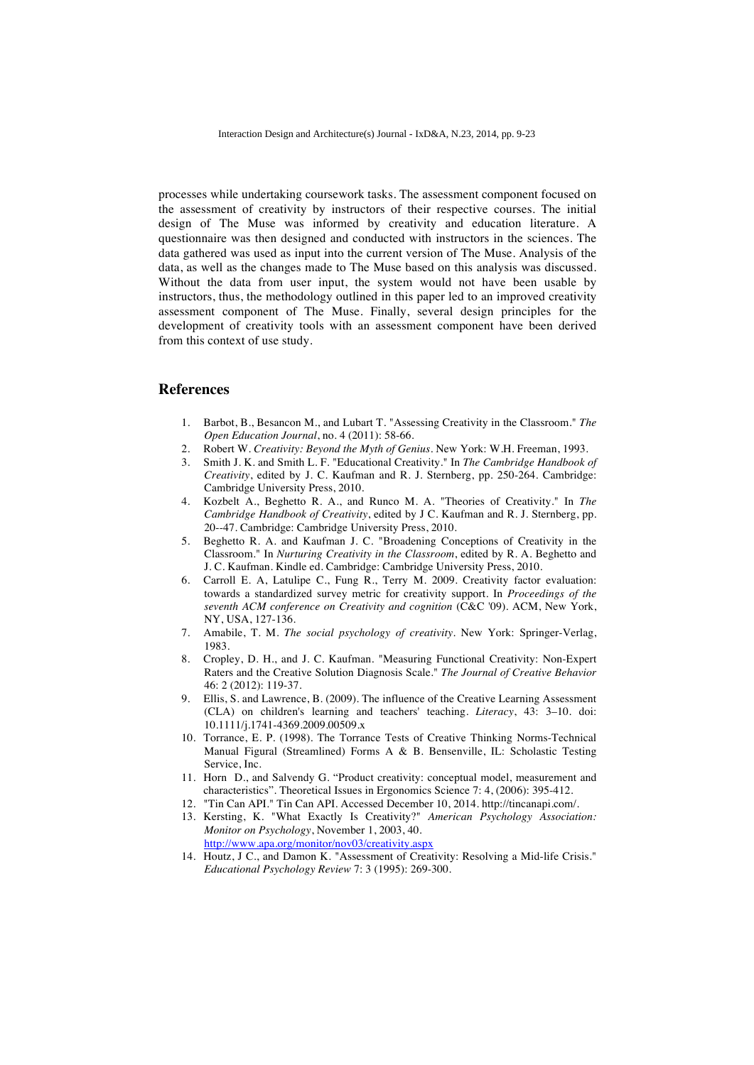processes while undertaking coursework tasks. The assessment component focused on the assessment of creativity by instructors of their respective courses. The initial design of The Muse was informed by creativity and education literature. A questionnaire was then designed and conducted with instructors in the sciences. The data gathered was used as input into the current version of The Muse. Analysis of the data, as well as the changes made to The Muse based on this analysis was discussed. Without the data from user input, the system would not have been usable by instructors, thus, the methodology outlined in this paper led to an improved creativity assessment component of The Muse. Finally, several design principles for the development of creativity tools with an assessment component have been derived from this context of use study.

# **References**

- 1. Barbot, B., Besancon M., and Lubart T. "Assessing Creativity in the Classroom." *The Open Education Journal*, no. 4 (2011): 58-66.
- 2. Robert W. *Creativity: Beyond the Myth of Genius*. New York: W.H. Freeman, 1993.
- 3. Smith J. K. and Smith L. F. "Educational Creativity." In *The Cambridge Handbook of Creativity*, edited by J. C. Kaufman and R. J. Sternberg, pp. 250-264. Cambridge: Cambridge University Press, 2010.
- 4. Kozbelt A., Beghetto R. A., and Runco M. A. "Theories of Creativity." In *The Cambridge Handbook of Creativity*, edited by J C. Kaufman and R. J. Sternberg, pp. 20--47. Cambridge: Cambridge University Press, 2010.
- 5. Beghetto R. A. and Kaufman J. C. "Broadening Conceptions of Creativity in the Classroom." In *Nurturing Creativity in the Classroom*, edited by R. A. Beghetto and J. C. Kaufman. Kindle ed. Cambridge: Cambridge University Press, 2010.
- 6. Carroll E. A, Latulipe C., Fung R., Terry M. 2009. Creativity factor evaluation: towards a standardized survey metric for creativity support. In *Proceedings of the seventh ACM conference on Creativity and cognition* (C&C '09). ACM, New York, NY, USA, 127-136.
- 7. Amabile, T. M. *The social psychology of creativity.* New York: Springer-Verlag, 1983.
- 8. Cropley, D. H., and J. C. Kaufman. "Measuring Functional Creativity: Non-Expert Raters and the Creative Solution Diagnosis Scale." *The Journal of Creative Behavior* 46: 2 (2012): 119-37.
- 9. Ellis, S. and Lawrence, B. (2009). The influence of the Creative Learning Assessment (CLA) on children's learning and teachers' teaching. *Literacy*, 43: 3–10. doi: 10.1111/j.1741-4369.2009.00509.x
- 10. Torrance, E. P. (1998). The Torrance Tests of Creative Thinking Norms-Technical Manual Figural (Streamlined) Forms A & B. Bensenville, IL: Scholastic Testing Service, Inc.
- 11. Horn D., and Salvendy G. "Product creativity: conceptual model, measurement and characteristics". Theoretical Issues in Ergonomics Science 7: 4, (2006): 395-412.
- 12. "Tin Can API." Tin Can API. Accessed December 10, 2014. http://tincanapi.com/.
- 13. Kersting, K. "What Exactly Is Creativity?" *American Psychology Association: Monitor on Psychology*, November 1, 2003, 40. http://www.apa.org/monitor/nov03/creativity.aspx
- 14. Houtz, J C., and Damon K. "Assessment of Creativity: Resolving a Mid-life Crisis." *Educational Psychology Review* 7: 3 (1995): 269-300.